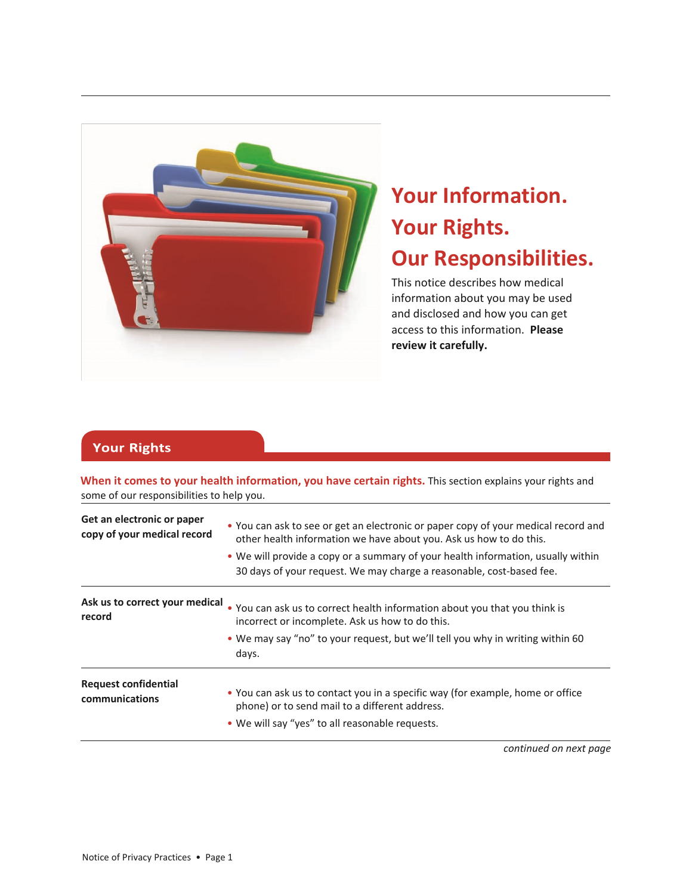

# **Your Information. Your Rights. Our Responsibilities.**

This notice describes how medical information about you may be used and disclosed and how you can get access to this information. **Please review it carefully.**

# **Your Rights**

**When it comes to your health information, you have certain rights.** This section explains your rights and some of our responsibilities to help you.

| Get an electronic or paper     | • You can ask to see or get an electronic or paper copy of your medical record and                                                                       |  |
|--------------------------------|----------------------------------------------------------------------------------------------------------------------------------------------------------|--|
| copy of your medical record    | other health information we have about you. Ask us how to do this.                                                                                       |  |
|                                | • We will provide a copy or a summary of your health information, usually within<br>30 days of your request. We may charge a reasonable, cost-based fee. |  |
| Ask us to correct your medical | . You can ask us to correct health information about you that you think is                                                                               |  |
| record                         | incorrect or incomplete. Ask us how to do this.                                                                                                          |  |
|                                | . We may say "no" to your request, but we'll tell you why in writing within 60<br>days.                                                                  |  |
| <b>Request confidential</b>    | • You can ask us to contact you in a specific way (for example, home or office                                                                           |  |
| communications                 | phone) or to send mail to a different address.                                                                                                           |  |
|                                | • We will say "yes" to all reasonable requests.                                                                                                          |  |

*continued on next page*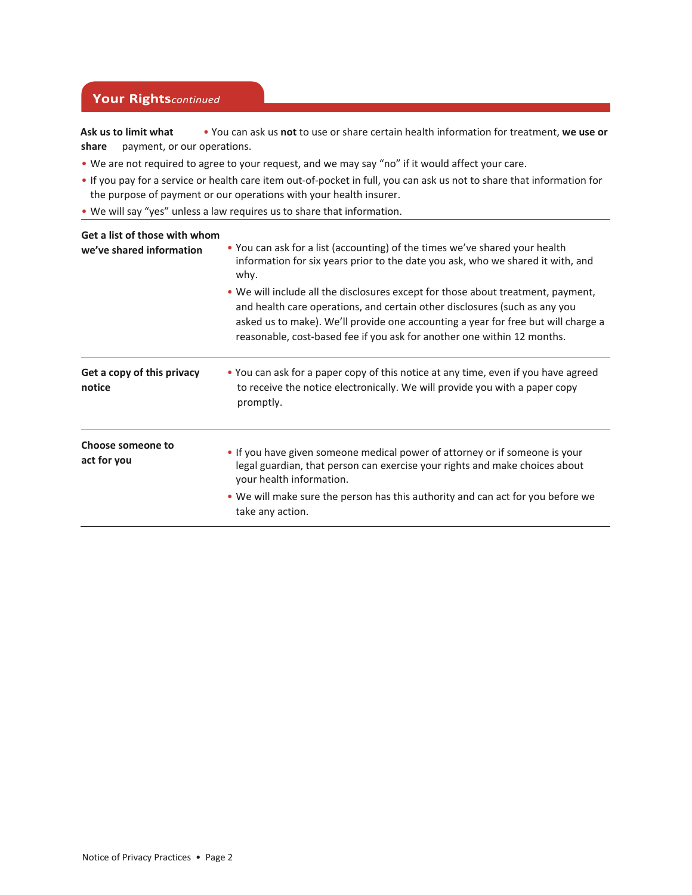### Your Rightscontinued

**Ask us to limit what** • You can ask us **not** to use or share certain health information for treatment, **we use or**  share payment, or our operations.

- We are not required to agree to your request, and we may say "no" if it would affect your care.
- If you pay for a service or health care item out-of-pocket in full, you can ask us not to share that information for the purpose of payment or our operations with your health insurer.
- We will say "yes" unless a law requires us to share that information.

| Get a list of those with whom        |                                                                                                                                                                                                                                                                                                                                |  |
|--------------------------------------|--------------------------------------------------------------------------------------------------------------------------------------------------------------------------------------------------------------------------------------------------------------------------------------------------------------------------------|--|
| we've shared information             | • You can ask for a list (accounting) of the times we've shared your health<br>information for six years prior to the date you ask, who we shared it with, and<br>why.                                                                                                                                                         |  |
|                                      | • We will include all the disclosures except for those about treatment, payment,<br>and health care operations, and certain other disclosures (such as any you<br>asked us to make). We'll provide one accounting a year for free but will charge a<br>reasonable, cost-based fee if you ask for another one within 12 months. |  |
| Get a copy of this privacy<br>notice | • You can ask for a paper copy of this notice at any time, even if you have agreed<br>to receive the notice electronically. We will provide you with a paper copy<br>promptly.                                                                                                                                                 |  |
| Choose someone to<br>act for you     | . If you have given someone medical power of attorney or if someone is your<br>legal guardian, that person can exercise your rights and make choices about<br>your health information.<br>• We will make sure the person has this authority and can act for you before we<br>take any action.                                  |  |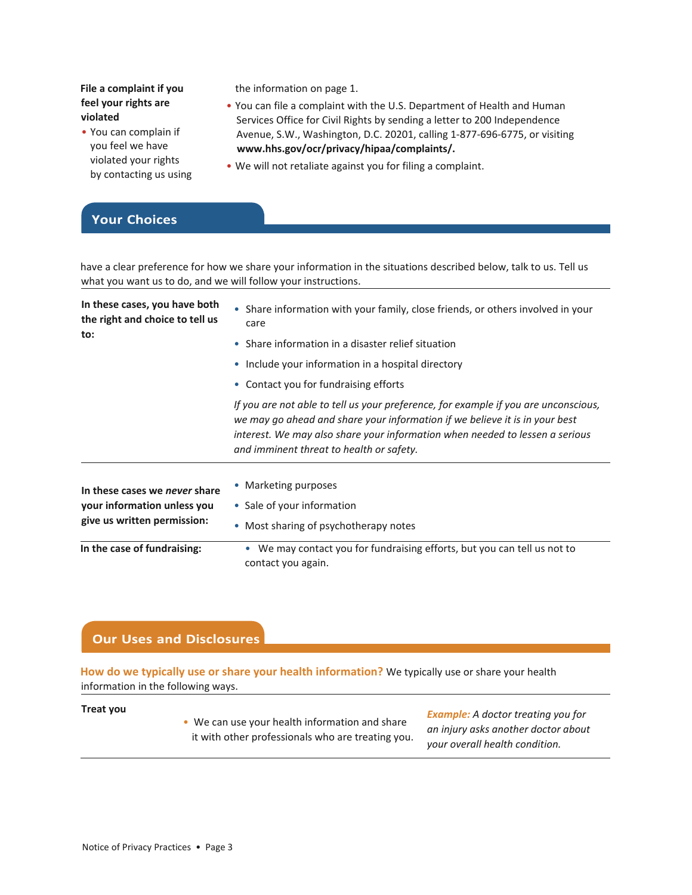#### **File a complaint if you feel your rights are violated**

• You can complain if you feel we have violated your rights by contacting us using the information on page 1.

- You can file a complaint with the U.S. Department of Health and Human Services Office for Civil Rights by sending a letter to 200 Independence Avenue, S.W., Washington, D.C. 20201, calling 1-877-696-6775, or visiting **[www.hhs.gov/ocr/privacy/hipaa/complaints/.](http://www.hhs.gov/ocr/privacy/hipaa/complaints/)**
- We will not retaliate against you for filing a complaint.

## **Your Choices**

have a clear preference for how we share your information in the situations described below, talk to us. Tell us what you want us to do, and we will follow your instructions.

| In these cases, you have both<br>the right and choice to tell us<br>to: | Share information with your family, close friends, or others involved in your<br>care                                                                                                                                                                                                          |
|-------------------------------------------------------------------------|------------------------------------------------------------------------------------------------------------------------------------------------------------------------------------------------------------------------------------------------------------------------------------------------|
|                                                                         | • Share information in a disaster relief situation                                                                                                                                                                                                                                             |
|                                                                         | Include your information in a hospital directory                                                                                                                                                                                                                                               |
|                                                                         | • Contact you for fundraising efforts                                                                                                                                                                                                                                                          |
|                                                                         | If you are not able to tell us your preference, for example if you are unconscious,<br>we may go ahead and share your information if we believe it is in your best<br>interest. We may also share your information when needed to lessen a serious<br>and imminent threat to health or safety. |
| In these cases we never share<br>your information unless you            | Marketing purposes<br>• Sale of your information                                                                                                                                                                                                                                               |
| give us written permission:                                             | • Most sharing of psychotherapy notes                                                                                                                                                                                                                                                          |
| In the case of fundraising:                                             | We may contact you for fundraising efforts, but you can tell us not to<br>$\bullet$<br>contact you again.                                                                                                                                                                                      |

### **Our Uses and Disclosures**

**How do we typically use or share your health information?** We typically use or share your health information in the following ways.

#### **Treat you**

| • We can use your health information and share    | <b>Example:</b> A doctor treating you for |
|---------------------------------------------------|-------------------------------------------|
| it with other professionals who are treating you. | an injury asks another doctor about       |
|                                                   | your overall health condition.            |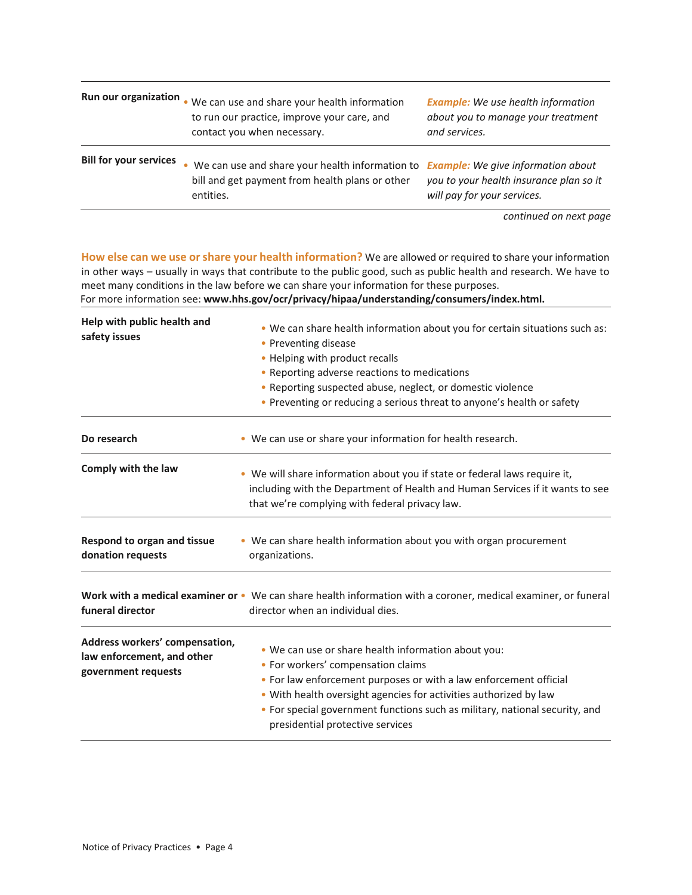| Run our organization          | • We can use and share your health information<br>to run our practice, improve your care, and<br>contact you when necessary.                                | <b>Example:</b> We use health information<br>about you to manage your treatment<br>and services. |
|-------------------------------|-------------------------------------------------------------------------------------------------------------------------------------------------------------|--------------------------------------------------------------------------------------------------|
| <b>Bill for your services</b> | • We can use and share your health information to <b>Example:</b> We give information about<br>bill and get payment from health plans or other<br>entities. | you to your health insurance plan so it<br>will pay for your services.                           |

*continued on next page*

**How else can we use or share your health information?** We are allowed or required to share your information in other ways – usually in ways that contribute to the public good, such as public health and research. We have to meet many conditions in the law before we can share your information for these purposes. For more information see: **[www.hhs.gov/ocr/privacy/hipaa/understanding/consumers/index.html.](http://www.hhs.gov/ocr/privacy/hipaa/understanding/consumers/index.html)**

| Help with public health and<br>safety issues                                        | . We can share health information about you for certain situations such as:<br>• Preventing disease<br>• Helping with product recalls<br>• Reporting adverse reactions to medications<br>• Reporting suspected abuse, neglect, or domestic violence<br>• Preventing or reducing a serious threat to anyone's health or safety                          |
|-------------------------------------------------------------------------------------|--------------------------------------------------------------------------------------------------------------------------------------------------------------------------------------------------------------------------------------------------------------------------------------------------------------------------------------------------------|
| Do research                                                                         | • We can use or share your information for health research.                                                                                                                                                                                                                                                                                            |
| Comply with the law                                                                 | • We will share information about you if state or federal laws require it,<br>including with the Department of Health and Human Services if it wants to see<br>that we're complying with federal privacy law.                                                                                                                                          |
| Respond to organ and tissue<br>donation requests                                    | • We can share health information about you with organ procurement<br>organizations.                                                                                                                                                                                                                                                                   |
| funeral director                                                                    | Work with a medical examiner or • We can share health information with a coroner, medical examiner, or funeral<br>director when an individual dies.                                                                                                                                                                                                    |
| Address workers' compensation,<br>law enforcement, and other<br>government requests | . We can use or share health information about you:<br>• For workers' compensation claims<br>• For law enforcement purposes or with a law enforcement official<br>. With health oversight agencies for activities authorized by law<br>• For special government functions such as military, national security, and<br>presidential protective services |